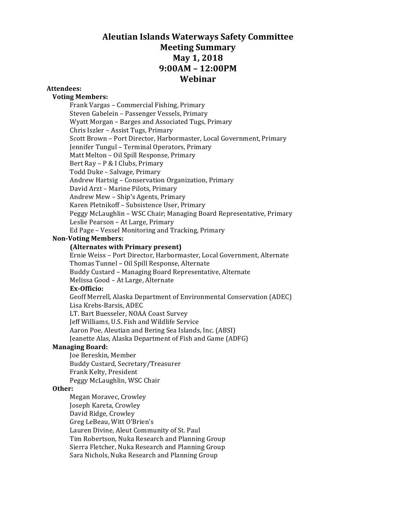# **Aleutian Islands Waterways Safety Committee Meeting Summary May 1, 2018 9:00AM – 12:00PM Webinar**

#### **Attendees:**

#### **Voting Members:**

Frank Vargas - Commercial Fishing, Primary Steven Gabelein - Passenger Vessels, Primary Wyatt Morgan – Barges and Associated Tugs, Primary Chris Iszler - Assist Tugs, Primary Scott Brown - Port Director, Harbormaster, Local Government, Primary Jennifer Tungul - Terminal Operators, Primary Matt Melton - Oil Spill Response, Primary Bert Ray - P & I Clubs, Primary Todd Duke - Salvage, Primary Andrew Hartsig - Conservation Organization, Primary David Arzt - Marine Pilots, Primary Andrew Mew - Ship's Agents, Primary Karen Pletnikoff - Subsistence User, Primary Peggy McLaughlin - WSC Chair; Managing Board Representative, Primary Leslie Pearson - At Large, Primary Ed Page - Vessel Monitoring and Tracking, Primary

#### **Non-Voting Members:**

#### **(Alternates with Primary present)**

Ernie Weiss - Port Director, Harbormaster, Local Government, Alternate Thomas Tunnel - Oil Spill Response, Alternate Buddy Custard - Managing Board Representative, Alternate Melissa Good - At Large, Alternate **Ex-Officio:** Geoff Merrell, Alaska Department of Environmental Conservation (ADEC) Lisa Krebs-Barsis, ADEC

LT. Bart Buesseler, NOAA Coast Survey Jeff Williams, U.S. Fish and Wildlife Service Aaron Poe, Aleutian and Bering Sea Islands, Inc. (ABSI) Jeanette Alas, Alaska Department of Fish and Game (ADFG)

#### **Managing Board:**

Joe Bereskin, Member Buddy Custard, Secretary/Treasurer Frank Kelty, President Peggy McLaughlin, WSC Chair

#### **Other:**

Megan Moravec, Crowley Joseph Kareta, Crowley David Ridge, Crowley Greg LeBeau, Witt O'Brien's Lauren Divine, Aleut Community of St. Paul Tim Robertson, Nuka Research and Planning Group Sierra Fletcher, Nuka Research and Planning Group Sara Nichols, Nuka Research and Planning Group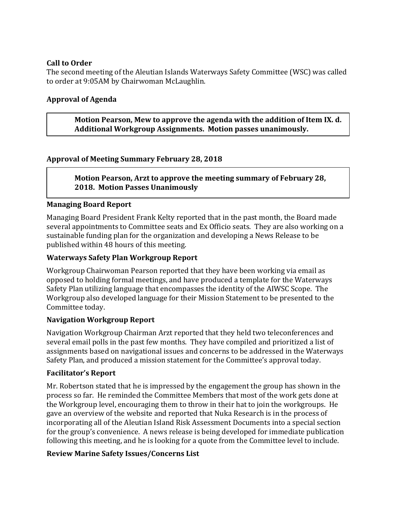# **Call to Order**

The second meeting of the Aleutian Islands Waterways Safety Committee (WSC) was called to order at 9:05AM by Chairwoman McLaughlin.

# **Approval of Agenda**

**Motion Pearson, Mew to approve the agenda with the addition of Item IX. d.** Additional Workgroup Assignments. Motion passes unanimously.

# **Approval of Meeting Summary February 28, 2018**

# **Motion Pearson, Arzt to approve the meeting summary of February 28, 2018. Motion Passes Unanimously**

# **Managing Board Report**

Managing Board President Frank Kelty reported that in the past month, the Board made several appointments to Committee seats and Ex Officio seats. They are also working on a sustainable funding plan for the organization and developing a News Release to be published within 48 hours of this meeting.

### **Waterways Safety Plan Workgroup Report**

Workgroup Chairwoman Pearson reported that they have been working via email as opposed to holding formal meetings, and have produced a template for the Waterways Safety Plan utilizing language that encompasses the identity of the AIWSC Scope. The Workgroup also developed language for their Mission Statement to be presented to the Committee today.

### **Navigation Workgroup Report**

Navigation Workgroup Chairman Arzt reported that they held two teleconferences and several email polls in the past few months. They have compiled and prioritized a list of assignments based on navigational issues and concerns to be addressed in the Waterways Safety Plan, and produced a mission statement for the Committee's approval today.

### **Facilitator's Report**

Mr. Robertson stated that he is impressed by the engagement the group has shown in the process so far. He reminded the Committee Members that most of the work gets done at the Workgroup level, encouraging them to throw in their hat to join the workgroups. He gave an overview of the website and reported that Nuka Research is in the process of incorporating all of the Aleutian Island Risk Assessment Documents into a special section for the group's convenience. A news release is being developed for immediate publication following this meeting, and he is looking for a quote from the Committee level to include.

### **Review Marine Safety Issues/Concerns List**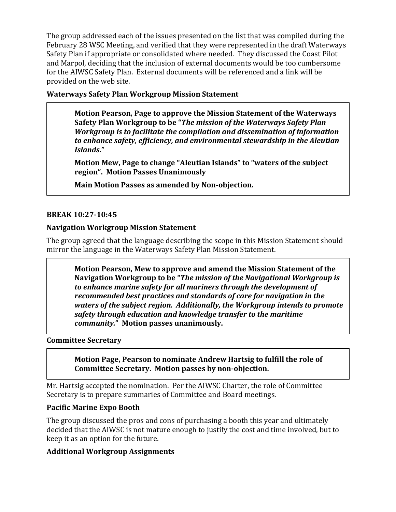The group addressed each of the issues presented on the list that was compiled during the February 28 WSC Meeting, and verified that they were represented in the draft Waterways Safety Plan if appropriate or consolidated where needed. They discussed the Coast Pilot and Marpol, deciding that the inclusion of external documents would be too cumbersome for the AIWSC Safety Plan. External documents will be referenced and a link will be provided on the web site.

**Waterways Safety Plan Workgroup Mission Statement**

**Motion Pearson, Page to approve the Mission Statement of the Waterways Safety Plan Workgroup to be "The mission of the Waterways Safety Plan** *Workgroup is to facilitate the compilation and dissemination of information* to enhance safety, efficiency, and environmental stewardship in the Aleutian *Islands.***"**

**Motion Mew, Page to change "Aleutian Islands" to "waters of the subject region". Motion Passes Unanimously**

**Main Motion Passes as amended by Non-objection.**

#### **BREAK 10:27-10:45**

#### **Navigation Workgroup Mission Statement**

The group agreed that the language describing the scope in this Mission Statement should mirror the language in the Waterways Safety Plan Mission Statement.

**Motion Pearson, Mew to approve and amend the Mission Statement of the** Navigation Workgroup to be "*The mission of the Navigational Workgroup is* to enhance marine safety for all mariners through the development of *recommended best practices and standards of care for navigation in the waters of the subject region. Additionally, the Workgroup intends to promote* safety through education and knowledge transfer to the maritime *community.***" Motion passes unanimously.**

#### **Committee Secretary**

**Motion Page, Pearson to nominate Andrew Hartsig to fulfill the role of Committee Secretary. Motion passes by non-objection.**

Mr. Hartsig accepted the nomination. Per the AIWSC Charter, the role of Committee Secretary is to prepare summaries of Committee and Board meetings.

### **Pacific Marine Expo Booth**

The group discussed the pros and cons of purchasing a booth this year and ultimately decided that the AIWSC is not mature enough to justify the cost and time involved, but to keep it as an option for the future.

### **Additional Workgroup Assignments**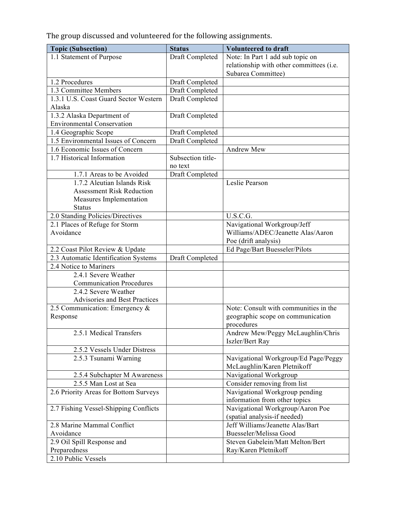The group discussed and volunteered for the following assignments.

| <b>Topic (Subsection)</b>             | <b>Status</b>     | <b>Volunteered to draft</b>                                      |
|---------------------------------------|-------------------|------------------------------------------------------------------|
| 1.1 Statement of Purpose              | Draft Completed   | Note: In Part 1 add sub topic on                                 |
|                                       |                   | relationship with other committees (i.e.                         |
|                                       |                   | Subarea Committee)                                               |
| 1.2 Procedures                        | Draft Completed   |                                                                  |
| 1.3 Committee Members                 | Draft Completed   |                                                                  |
| 1.3.1 U.S. Coast Guard Sector Western | Draft Completed   |                                                                  |
| Alaska                                |                   |                                                                  |
| 1.3.2 Alaska Department of            | Draft Completed   |                                                                  |
| <b>Environmental Conservation</b>     |                   |                                                                  |
| 1.4 Geographic Scope                  | Draft Completed   |                                                                  |
| 1.5 Environmental Issues of Concern   | Draft Completed   |                                                                  |
| 1.6 Economic Issues of Concern        |                   | Andrew Mew                                                       |
| 1.7 Historical Information            | Subsection title- |                                                                  |
|                                       | no text           |                                                                  |
| 1.7.1 Areas to be Avoided             | Draft Completed   |                                                                  |
| 1.7.2 Aleutian Islands Risk           |                   | Leslie Pearson                                                   |
| <b>Assessment Risk Reduction</b>      |                   |                                                                  |
| Measures Implementation               |                   |                                                                  |
| <b>Status</b>                         |                   |                                                                  |
| 2.0 Standing Policies/Directives      |                   | U.S.C.G.                                                         |
| 2.1 Places of Refuge for Storm        |                   | Navigational Workgroup/Jeff                                      |
| Avoidance                             |                   | Williams/ADEC/Jeanette Alas/Aaron                                |
|                                       |                   | Poe (drift analysis)                                             |
| 2.2 Coast Pilot Review & Update       |                   | Ed Page/Bart Buesseler/Pilots                                    |
| 2.3 Automatic Identification Systems  | Draft Completed   |                                                                  |
| 2.4 Notice to Mariners                |                   |                                                                  |
| 2.4.1 Severe Weather                  |                   |                                                                  |
| <b>Communication Procedures</b>       |                   |                                                                  |
| 2.4.2 Severe Weather                  |                   |                                                                  |
| <b>Advisories and Best Practices</b>  |                   |                                                                  |
| 2.5 Communication: Emergency &        |                   | Note: Consult with communities in the                            |
| Response                              |                   | geographic scope on communication                                |
|                                       |                   | procedures                                                       |
| 2.5.1 Medical Transfers               |                   | Andrew Mew/Peggy McLaughlin/Chris                                |
|                                       |                   | Iszler/Bert Ray                                                  |
| 2.5.2 Vessels Under Distress          |                   |                                                                  |
| 2.5.3 Tsunami Warning                 |                   | Navigational Workgroup/Ed Page/Peggy                             |
|                                       |                   | McLaughlin/Karen Pletnikoff                                      |
| 2.5.4 Subchapter M Awareness          |                   | Navigational Workgroup                                           |
| 2.5.5 Man Lost at Sea                 |                   | Consider removing from list                                      |
| 2.6 Priority Areas for Bottom Surveys |                   | Navigational Workgroup pending                                   |
| 2.7 Fishing Vessel-Shipping Conflicts |                   | information from other topics                                    |
|                                       |                   | Navigational Workgroup/Aaron Poe                                 |
| 2.8 Marine Mammal Conflict            |                   | (spatial analysis-if needed)<br>Jeff Williams/Jeanette Alas/Bart |
| Avoidance                             |                   | Buesseler/Melissa Good                                           |
| 2.9 Oil Spill Response and            |                   | Steven Gabelein/Matt Melton/Bert                                 |
| Preparedness                          |                   | Ray/Karen Pletnikoff                                             |
| 2.10 Public Vessels                   |                   |                                                                  |
|                                       |                   |                                                                  |